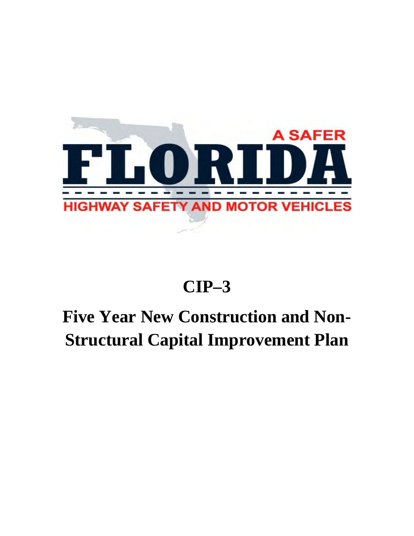

## **CIP–3**

## **Five Year New Construction and Non-Structural Capital Improvement Plan**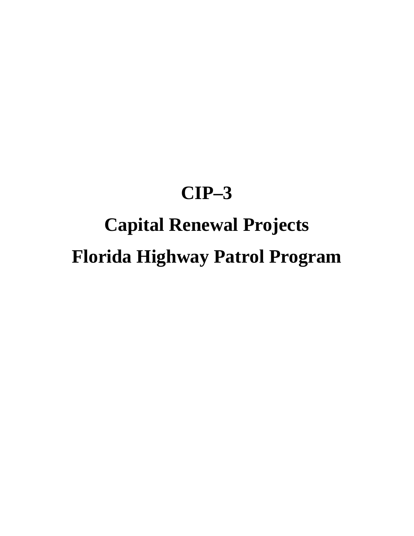### **CIP–3**

# **Capital Renewal Projects Florida Highway Patrol Program**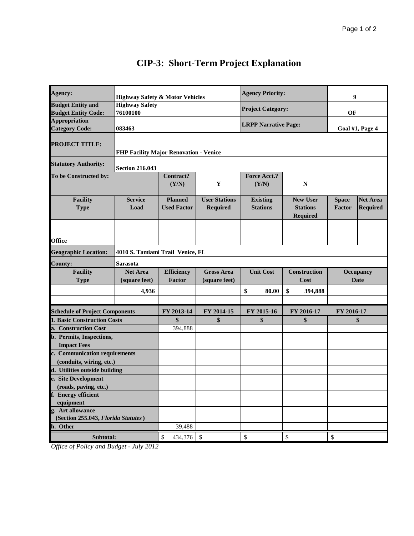| Agency:                                                                     | <b>Highway Safety &amp; Motor Vehicles</b> |                         |                      | <b>Agency Priority:</b>     |                     | 9                |                  |
|-----------------------------------------------------------------------------|--------------------------------------------|-------------------------|----------------------|-----------------------------|---------------------|------------------|------------------|
| <b>Budget Entity and</b>                                                    | <b>Highway Safety</b>                      |                         |                      | <b>Project Category:</b>    |                     |                  |                  |
| <b>Budget Entity Code:</b>                                                  | 76100100                                   |                         |                      |                             |                     | OF               |                  |
| <b>Appropriation</b>                                                        |                                            |                         |                      | <b>LRPP Narrative Page:</b> |                     |                  |                  |
| <b>Category Code:</b>                                                       | 083463                                     |                         |                      |                             |                     | Goal #1, Page 4  |                  |
|                                                                             |                                            |                         |                      |                             |                     |                  |                  |
| <b>PROJECT TITLE:</b>                                                       |                                            |                         |                      |                             |                     |                  |                  |
|                                                                             | FHP Facility Major Renovation - Venice     |                         |                      |                             |                     |                  |                  |
| <b>Statutory Authority:</b>                                                 | <b>Section 216.043</b>                     |                         |                      |                             |                     |                  |                  |
| To be Constructed by:                                                       |                                            | Contract?               |                      | <b>Force Acct.?</b>         |                     |                  |                  |
|                                                                             |                                            | (Y/N)                   | $\mathbf Y$          | (Y/N)                       | N                   |                  |                  |
|                                                                             |                                            |                         |                      |                             |                     |                  |                  |
| <b>Facility</b>                                                             | <b>Service</b>                             | <b>Planned</b>          | <b>User Stations</b> | <b>Existing</b>             | <b>New User</b>     | <b>Space</b>     | <b>Net Area</b>  |
| <b>Type</b>                                                                 | Load                                       | <b>Used Factor</b>      | <b>Required</b>      | <b>Stations</b>             | <b>Stations</b>     | Factor           | <b>Required</b>  |
|                                                                             |                                            |                         |                      |                             | Required            |                  |                  |
|                                                                             |                                            |                         |                      |                             |                     |                  |                  |
|                                                                             |                                            |                         |                      |                             |                     |                  |                  |
| <b>Office</b>                                                               |                                            |                         |                      |                             |                     |                  |                  |
| <b>Geographic Location:</b>                                                 | 4010 S. Tamiami Trail Venice, FL           |                         |                      |                             |                     |                  |                  |
| <b>County:</b>                                                              | Sarasota                                   |                         |                      |                             |                     |                  |                  |
| <b>Facility</b>                                                             | <b>Net Area</b>                            | <b>Efficiency</b>       | <b>Gross Area</b>    | <b>Unit Cost</b>            | <b>Construction</b> |                  | <b>Occupancy</b> |
| <b>Type</b>                                                                 | (square feet)                              | Factor                  | (square feet)        |                             | Cost                | <b>Date</b>      |                  |
|                                                                             | 4,936                                      |                         |                      | \$<br>80.00                 | \$<br>394,888       |                  |                  |
|                                                                             |                                            |                         |                      |                             |                     |                  |                  |
|                                                                             |                                            | FY 2013-14              | FY 2014-15           | FY 2015-16                  | FY 2016-17          |                  |                  |
| <b>Schedule of Project Components</b><br><b>1. Basic Construction Costs</b> |                                            | \$                      | \$                   | \$                          | \$                  | FY 2016-17<br>\$ |                  |
| a. Construction Cost                                                        |                                            | 394,888                 |                      |                             |                     |                  |                  |
| b. Permits, Inspections,                                                    |                                            |                         |                      |                             |                     |                  |                  |
| <b>Impact Fees</b>                                                          |                                            |                         |                      |                             |                     |                  |                  |
| c. Communication requirements                                               |                                            |                         |                      |                             |                     |                  |                  |
| (conduits, wiring, etc.)                                                    |                                            |                         |                      |                             |                     |                  |                  |
| d. Utilities outside building                                               |                                            |                         |                      |                             |                     |                  |                  |
| e. Site Development                                                         |                                            |                         |                      |                             |                     |                  |                  |
| (roads, paving, etc.)                                                       |                                            |                         |                      |                             |                     |                  |                  |
| f. Energy efficient                                                         |                                            |                         |                      |                             |                     |                  |                  |
| equipment                                                                   |                                            |                         |                      |                             |                     |                  |                  |
| g. Art allowance                                                            |                                            |                         |                      |                             |                     |                  |                  |
| (Section 255.043, Florida Statutes)                                         |                                            |                         |                      |                             |                     |                  |                  |
| h. Other                                                                    |                                            | 39,488                  |                      |                             |                     |                  |                  |
| Subtotal:                                                                   |                                            | $\mathbb{S}$<br>434,376 | $\sqrt[6]{3}$        | \$                          | $\mathbb{S}$        | \$               |                  |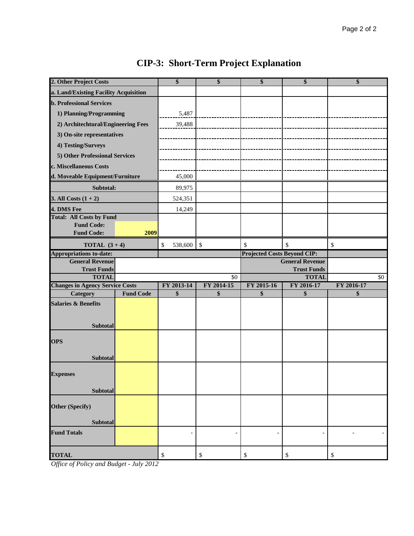| 2. Other Project Costs                                 |                  | \$              | \$            | \$                                       | \$                       | \$         |
|--------------------------------------------------------|------------------|-----------------|---------------|------------------------------------------|--------------------------|------------|
| a. Land/Existing Facility Acquisition                  |                  |                 |               |                                          |                          |            |
| <b>b. Professional Services</b>                        |                  |                 |               |                                          |                          |            |
| 1) Planning/Programming                                |                  | 5,487           |               |                                          |                          |            |
| 2) Architechtural/Engineering Fees                     |                  | 39,488          |               |                                          |                          |            |
| 3) On-site representatives                             |                  |                 |               |                                          |                          |            |
| 4) Testing/Surveys                                     |                  |                 |               |                                          |                          |            |
| 5) Other Professional Services                         |                  |                 |               |                                          |                          |            |
| c. Miscellaneous Costs                                 |                  |                 |               |                                          |                          |            |
| d. Moveable Equipment/Furniture                        |                  | 45,000          |               |                                          |                          |            |
| Subtotal:                                              |                  | 89,975          |               |                                          |                          |            |
| 3. All Costs $(1 + 2)$                                 |                  | 524,351         |               |                                          |                          |            |
| 4. DMS Fee                                             |                  | 14,249          |               |                                          |                          |            |
| <b>Total: All Costs by Fund</b>                        |                  |                 |               |                                          |                          |            |
| <b>Fund Code:</b><br><b>Fund Code:</b>                 | 2009             |                 |               |                                          |                          |            |
|                                                        |                  |                 |               |                                          |                          |            |
| <b>TOTAL</b> $(3+4)$<br><b>Appropriations to-date:</b> |                  | $\$$<br>538,600 | $\mathcal{S}$ | \$<br><b>Projected Costs Beyond CIP:</b> | \$                       | \$         |
| <b>General Revenue</b>                                 |                  |                 |               |                                          | <b>General Revenue</b>   |            |
| <b>Trust Funds</b>                                     |                  |                 |               |                                          | <b>Trust Funds</b>       |            |
| <b>TOTAL</b>                                           |                  |                 | \$0           |                                          | <b>TOTAL</b>             | \$0        |
| <b>Changes in Agency Service Costs</b>                 |                  | FY 2013-14      | FY 2014-15    | FY 2015-16                               | FY 2016-17               | FY 2016-17 |
| Category                                               | <b>Fund Code</b> | \$              | \$            | \$                                       | \$                       | \$         |
| <b>Salaries &amp; Benefits</b>                         |                  |                 |               |                                          |                          |            |
|                                                        |                  |                 |               |                                          |                          |            |
| Subtotal                                               |                  |                 |               |                                          |                          |            |
| <b>OPS</b>                                             |                  |                 |               |                                          |                          |            |
|                                                        |                  |                 |               |                                          |                          |            |
| <b>Subtotal</b>                                        |                  |                 |               |                                          |                          |            |
|                                                        |                  |                 |               |                                          |                          |            |
| <b>Expenses</b>                                        |                  |                 |               |                                          |                          |            |
| Subtotal                                               |                  |                 |               |                                          |                          |            |
|                                                        |                  |                 |               |                                          |                          |            |
| <b>Other (Specify)</b>                                 |                  |                 |               |                                          |                          |            |
| Subtotal                                               |                  |                 |               |                                          |                          |            |
| <b>Fund Totals</b>                                     |                  |                 |               | $\overline{\phantom{a}}$                 | $\overline{\phantom{a}}$ |            |
|                                                        |                  |                 |               |                                          |                          |            |
| <b>TOTAL</b>                                           |                  | \$              | $\$$          | \$                                       | $\$$                     | \$         |
| $c_{\mathbf{D}}$ $\mathbf{P}$                          | 2012             |                 |               |                                          |                          |            |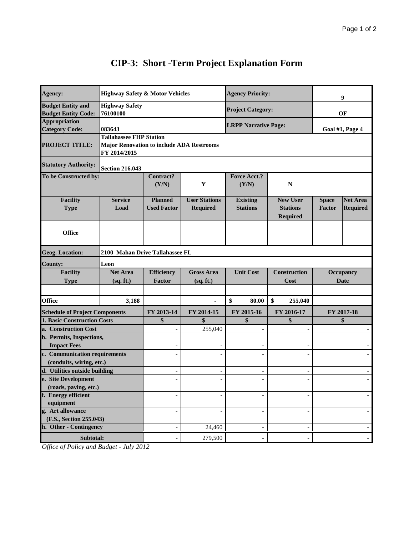| Agency:                                                | <b>Highway Safety &amp; Motor Vehicles</b>                                                         |                                                                                                                  |                                         | <b>Agency Priority:</b>            |                                                       | 9                             |                                    |
|--------------------------------------------------------|----------------------------------------------------------------------------------------------------|------------------------------------------------------------------------------------------------------------------|-----------------------------------------|------------------------------------|-------------------------------------------------------|-------------------------------|------------------------------------|
| <b>Budget Entity and</b><br><b>Budget Entity Code:</b> | <b>Highway Safety</b><br>76100100                                                                  |                                                                                                                  |                                         | <b>Project Category:</b>           |                                                       | OF                            |                                    |
| <b>Appropriation</b><br><b>Category Code:</b>          | 083643                                                                                             |                                                                                                                  |                                         | <b>LRPP Narrative Page:</b>        |                                                       | Goal #1, Page 4               |                                    |
| <b>PROJECT TITLE:</b>                                  | <b>Tallahassee FHP Station</b><br><b>Major Renovation to include ADA Restrooms</b><br>FY 2014/2015 |                                                                                                                  |                                         |                                    |                                                       |                               |                                    |
| <b>Statutory Authority:</b>                            | <b>Section 216.043</b>                                                                             |                                                                                                                  |                                         |                                    |                                                       |                               |                                    |
| To be Constructed by:                                  |                                                                                                    | Contract?<br>(Y/N)                                                                                               | Y                                       | <b>Force Acct.?</b><br>(Y/N)       | $\mathbf N$                                           |                               |                                    |
| <b>Facility</b><br><b>Type</b>                         | <b>Service</b><br>Load                                                                             | <b>Planned</b><br><b>Used Factor</b>                                                                             | <b>User Stations</b><br><b>Required</b> | <b>Existing</b><br><b>Stations</b> | <b>New User</b><br><b>Stations</b><br><b>Required</b> | <b>Space</b><br><b>Factor</b> | <b>Net Area</b><br><b>Required</b> |
| <b>Office</b>                                          |                                                                                                    |                                                                                                                  |                                         |                                    |                                                       |                               |                                    |
| <b>Geog. Location:</b>                                 | 2100 Mahan Drive Tallahassee FL                                                                    |                                                                                                                  |                                         |                                    |                                                       |                               |                                    |
| <b>County:</b>                                         | Leon                                                                                               |                                                                                                                  |                                         |                                    |                                                       |                               |                                    |
| <b>Facility</b><br><b>Type</b>                         | <b>Net Area</b><br>(sq. ft.)                                                                       | <b>Gross Area</b><br><b>Unit Cost</b><br><b>Construction</b><br><b>Efficiency</b><br>Factor<br>Cost<br>(sq. ft.) |                                         |                                    | Occupancy<br><b>Date</b>                              |                               |                                    |
| <b>Office</b>                                          | 3,188                                                                                              |                                                                                                                  | $\blacksquare$                          | \$<br>80.00                        | \$<br>255,040                                         |                               |                                    |
| <b>Schedule of Project Components</b>                  |                                                                                                    | FY 2013-14                                                                                                       | FY 2014-15                              | FY 2015-16                         | FY 2016-17                                            | FY 2017-18                    |                                    |
| 1. Basic Construction Costs                            |                                                                                                    | \$                                                                                                               | \$                                      | \$                                 | \$                                                    | \$                            |                                    |
| a. Construction Cost                                   |                                                                                                    |                                                                                                                  | 255,040                                 |                                    |                                                       |                               |                                    |
| b. Permits, Inspections,                               |                                                                                                    |                                                                                                                  |                                         |                                    |                                                       |                               |                                    |
| <b>Impact Fees</b>                                     |                                                                                                    |                                                                                                                  |                                         |                                    |                                                       |                               |                                    |
| c. Communication requirements                          |                                                                                                    |                                                                                                                  |                                         |                                    |                                                       |                               |                                    |
| (conduits, wiring, etc.)                               |                                                                                                    |                                                                                                                  |                                         |                                    |                                                       |                               |                                    |
| d. Utilities outside building                          |                                                                                                    |                                                                                                                  |                                         |                                    |                                                       |                               |                                    |
| e. Site Development                                    |                                                                                                    |                                                                                                                  |                                         |                                    |                                                       |                               |                                    |
| (roads, paving, etc.)<br>f. Energy efficient           |                                                                                                    |                                                                                                                  |                                         |                                    |                                                       |                               |                                    |
| equipment                                              |                                                                                                    |                                                                                                                  |                                         |                                    |                                                       |                               |                                    |
| g. Art allowance                                       |                                                                                                    |                                                                                                                  |                                         |                                    | $\overline{a}$                                        |                               |                                    |
| (F.S., Section 255.043)                                |                                                                                                    |                                                                                                                  |                                         |                                    |                                                       |                               |                                    |
| h. Other - Contingency                                 |                                                                                                    |                                                                                                                  | 24,460                                  |                                    |                                                       |                               |                                    |
| Subtotal:                                              |                                                                                                    |                                                                                                                  | 279,500                                 |                                    |                                                       |                               |                                    |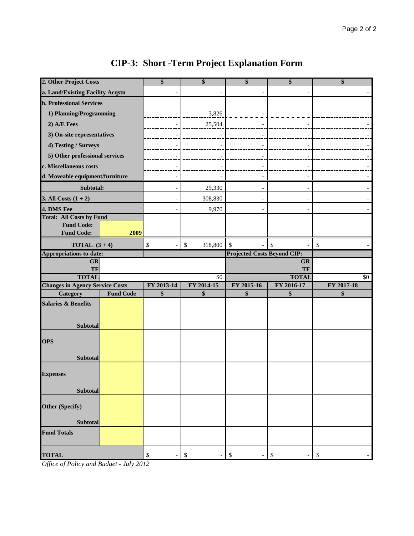| 2. Other Project Costs                            | \$                       | \$              | \$                                 | \$                       | \$                        |
|---------------------------------------------------|--------------------------|-----------------|------------------------------------|--------------------------|---------------------------|
| a. Land/Existing Facility Acqstn                  |                          |                 |                                    |                          |                           |
| <b>b. Professional Services</b>                   |                          |                 |                                    |                          |                           |
| 1) Planning/Programming                           |                          | 3,826           |                                    |                          |                           |
| 2) A/E Fees                                       |                          | 25,504          |                                    |                          |                           |
| 3) On-site representatives                        |                          |                 |                                    |                          |                           |
| 4) Testing / Surveys                              |                          |                 |                                    |                          |                           |
| 5) Other professional services                    |                          |                 |                                    |                          |                           |
| c. Miscellaneous costs                            |                          |                 |                                    |                          |                           |
| d. Moveable equipment/furniture                   |                          |                 |                                    |                          |                           |
| Subtotal:                                         | $\overline{\phantom{a}}$ | 29,330          | $\overline{\phantom{a}}$           | $\overline{\phantom{a}}$ |                           |
| 3. All Costs $(1 + 2)$                            |                          | 308,830         |                                    |                          |                           |
| 4. DMS Fee                                        |                          | 9,970           |                                    |                          |                           |
| <b>Total: All Costs by Fund</b>                   |                          |                 |                                    |                          |                           |
| <b>Fund Code:</b>                                 |                          |                 |                                    |                          |                           |
| <b>Fund Code:</b><br>2009                         |                          |                 |                                    |                          |                           |
| <b>TOTAL</b> $(3+4)$                              | \$                       | \$<br>318,800   | \$                                 | \$                       | $\boldsymbol{\mathsf{S}}$ |
| <b>Appropriations to-date:</b>                    |                          |                 | <b>Projected Costs Beyond CIP:</b> |                          |                           |
| GR<br>TF                                          |                          |                 | GR<br>TF                           |                          |                           |
| <b>TOTAL</b>                                      |                          | $\overline{50}$ | <b>TOTAL</b>                       |                          | \$0                       |
| <b>Changes in Agency Service Costs</b>            | FY 2013-14               | FY 2014-15      | FY 2015-16                         | FY 2016-17               | FY 2017-18                |
| <b>Fund Code</b><br><b>Category</b>               | \$                       | \$              | \$                                 | \$                       | \$                        |
| <b>Salaries &amp; Benefits</b><br><b>Subtotal</b> |                          |                 |                                    |                          |                           |
| <b>OPS</b><br><b>Subtotal</b>                     |                          |                 |                                    |                          |                           |
| <b>Expenses</b><br>Subtotal                       |                          |                 |                                    |                          |                           |
| Other (Specify)<br>Subtotal                       |                          |                 |                                    |                          |                           |
| <b>Fund Totals</b>                                |                          |                 |                                    |                          |                           |
| <b>TOTAL</b>                                      | \$                       | \$              | $\$$                               | \$                       | \$                        |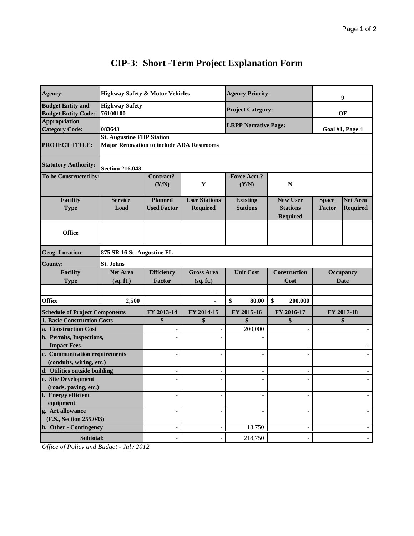| Agency:                                                   | <b>Highway Safety &amp; Motor Vehicles</b>                                           |                                                                      |                                         | <b>Agency Priority:</b>            |                                                       | 9                             |                                    |
|-----------------------------------------------------------|--------------------------------------------------------------------------------------|----------------------------------------------------------------------|-----------------------------------------|------------------------------------|-------------------------------------------------------|-------------------------------|------------------------------------|
| <b>Budget Entity and</b><br><b>Budget Entity Code:</b>    | <b>Highway Safety</b><br>76100100                                                    |                                                                      |                                         | <b>Project Category:</b>           |                                                       | OF                            |                                    |
| <b>Appropriation</b><br><b>Category Code:</b>             | 083643                                                                               |                                                                      |                                         | <b>LRPP Narrative Page:</b>        |                                                       | Goal #1, Page 4               |                                    |
| <b>PROJECT TITLE:</b>                                     | <b>St. Augustine FHP Station</b><br><b>Major Renovation to include ADA Restrooms</b> |                                                                      |                                         |                                    |                                                       |                               |                                    |
| <b>Statutory Authority:</b>                               | <b>Section 216.043</b>                                                               |                                                                      |                                         |                                    |                                                       |                               |                                    |
| To be Constructed by:                                     |                                                                                      | <b>Contract?</b><br>(Y/N)                                            | Y                                       | <b>Force Acct.?</b><br>(Y/N)       | $\mathbf N$                                           |                               |                                    |
| <b>Facility</b><br><b>Type</b>                            | <b>Service</b><br>Load                                                               | <b>Planned</b><br><b>Used Factor</b>                                 | <b>User Stations</b><br><b>Required</b> | <b>Existing</b><br><b>Stations</b> | <b>New User</b><br><b>Stations</b><br><b>Required</b> | <b>Space</b><br><b>Factor</b> | <b>Net Area</b><br><b>Required</b> |
| <b>Office</b>                                             |                                                                                      |                                                                      |                                         |                                    |                                                       |                               |                                    |
| <b>Geog. Location:</b>                                    | 875 SR 16 St. Augustine FL                                                           |                                                                      |                                         |                                    |                                                       |                               |                                    |
| <b>County:</b>                                            | <b>St. Johns</b>                                                                     |                                                                      |                                         |                                    |                                                       |                               |                                    |
| <b>Facility</b><br><b>Type</b>                            | <b>Net Area</b><br>(sq. ft.)                                                         | <b>Efficiency</b><br><b>Gross Area</b><br>(sq. ft.)<br><b>Factor</b> |                                         | <b>Unit Cost</b>                   | <b>Construction</b><br>Cost                           | Occupancy<br><b>Date</b>      |                                    |
| <b>Office</b>                                             | 2,500                                                                                |                                                                      | ä,                                      | \$<br>80.00                        | \$<br>200,000                                         |                               |                                    |
| <b>Schedule of Project Components</b>                     |                                                                                      | FY 2013-14                                                           | FY 2014-15                              | FY 2015-16                         | FY 2016-17                                            | FY 2017-18                    |                                    |
| <b>1. Basic Construction Costs</b>                        |                                                                                      | \$                                                                   | \$                                      | \$                                 | \$                                                    |                               | \$                                 |
| a. Construction Cost                                      |                                                                                      |                                                                      |                                         | 200,000                            |                                                       |                               | $\overline{\phantom{a}}$           |
| b. Permits, Inspections,<br><b>Impact Fees</b>            |                                                                                      |                                                                      |                                         |                                    |                                                       |                               |                                    |
| c. Communication requirements                             |                                                                                      |                                                                      |                                         |                                    |                                                       |                               |                                    |
| (conduits, wiring, etc.)<br>d. Utilities outside building |                                                                                      |                                                                      |                                         |                                    |                                                       |                               |                                    |
| e. Site Development                                       |                                                                                      |                                                                      |                                         |                                    |                                                       |                               |                                    |
| (roads, paving, etc.)                                     |                                                                                      |                                                                      |                                         |                                    |                                                       |                               |                                    |
| f. Energy efficient                                       |                                                                                      |                                                                      |                                         |                                    |                                                       |                               |                                    |
| equipment                                                 |                                                                                      |                                                                      |                                         |                                    |                                                       |                               |                                    |
| g. Art allowance                                          |                                                                                      |                                                                      |                                         |                                    |                                                       |                               |                                    |
| (F.S., Section 255.043)<br>h. Other - Contingency         |                                                                                      |                                                                      |                                         | 18,750                             |                                                       |                               |                                    |
|                                                           |                                                                                      |                                                                      |                                         |                                    |                                                       |                               |                                    |
| Subtotal:                                                 |                                                                                      |                                                                      |                                         | 218,750                            |                                                       |                               |                                    |